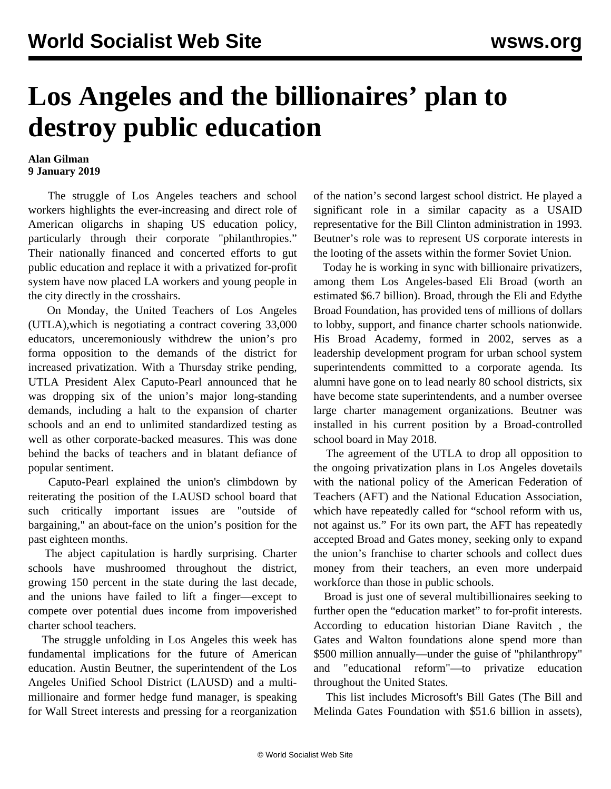## **Los Angeles and the billionaires' plan to destroy public education**

## **Alan Gilman 9 January 2019**

 The struggle of Los Angeles teachers and school workers highlights the ever-increasing and direct role of American oligarchs in shaping US education policy, particularly through their corporate "philanthropies." Their nationally financed and concerted efforts to gut public education and replace it with a privatized for-profit system have now placed LA workers and young people in the city directly in the crosshairs.

 On Monday, the United Teachers of Los Angeles (UTLA),which is negotiating a contract covering 33,000 educators, unceremoniously withdrew the union's pro forma opposition to the demands of the district for increased privatization. With a Thursday strike pending, UTLA President Alex Caputo-Pearl announced that he was dropping six of the union's major long-standing demands, including a halt to the expansion of charter schools and an end to unlimited standardized testing as well as other corporate-backed measures. This was done behind the backs of teachers and in blatant defiance of popular sentiment.

 Caputo-Pearl explained the union's climbdown by reiterating the position of the LAUSD school board that such critically important issues are "outside of bargaining," an about-face on the union's position for the past eighteen months.

 The abject capitulation is hardly surprising. Charter schools have mushroomed throughout the district, growing 150 percent in the state during the last decade, and the unions have failed to lift a finger—except to compete over potential dues income from impoverished charter school teachers.

 The struggle unfolding in Los Angeles this week has fundamental implications for the future of American education. Austin Beutner, the superintendent of the Los Angeles Unified School District (LAUSD) and a multimillionaire and former hedge fund manager, is [speaking](/en/articles/2019/01/07/beut-j07.html%20) [for Wall Street interests](/en/articles/2019/01/07/beut-j07.html%20) and pressing for a reorganization of the nation's second largest school district. He played a significant role in a similar capacity as a USAID representative for the Bill Clinton administration in 1993. Beutner's role was to represent US corporate interests in the looting of the assets within the former Soviet Union.

 Today he is working in sync with billionaire privatizers, among them Los Angeles-based Eli Broad (worth an estimated \$6.7 billion). Broad, through the Eli and Edythe Broad Foundation, has provided tens of millions of dollars to lobby, support, and finance charter schools nationwide. His Broad Academy, formed in 2002, serves as a leadership development program for urban school system superintendents committed to a corporate agenda. Its alumni have gone on to lead nearly 80 school districts, six have become state superintendents, and a number oversee large charter management organizations. Beutner was installed in his current position by a Broad-controlled school board in May 2018.

 The agreement of the UTLA to drop all opposition to the ongoing privatization plans in Los Angeles dovetails with the national policy of the American Federation of Teachers (AFT) and the National Education Association, which have repeatedly called for "school reform with us, not against us." For its own part, the AFT has repeatedly accepted Broad and Gates money, seeking only to expand the union's franchise to charter schools and collect dues money from their teachers, an even more underpaid workforce than those in public schools.

 Broad is just one of several multibillionaires seeking to further open the "education market" to for-profit interests. According to education historian Diane Ravitch *,* the Gates and Walton foundations alone spend more than \$500 million annually—under the guise of "philanthropy" and "educational reform"—to privatize education throughout the United States.

 This list includes Microsoft's Bill Gates (The Bill and Melinda Gates Foundation with \$51.6 billion in assets),